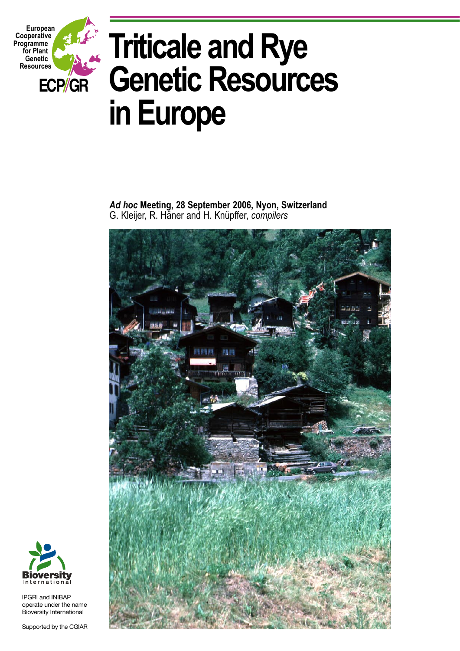

# **Triticale and Rye Genetic Resources in Europe**

*Ad hoc* **Meeting, 28 September 2006, Nyon, Switzerland** G. Kleijer, R. Häner and H. Knüpffer, *compilers*





IPGRI and INIBAP operate under the name Bioversity International

Supported by the CGIAR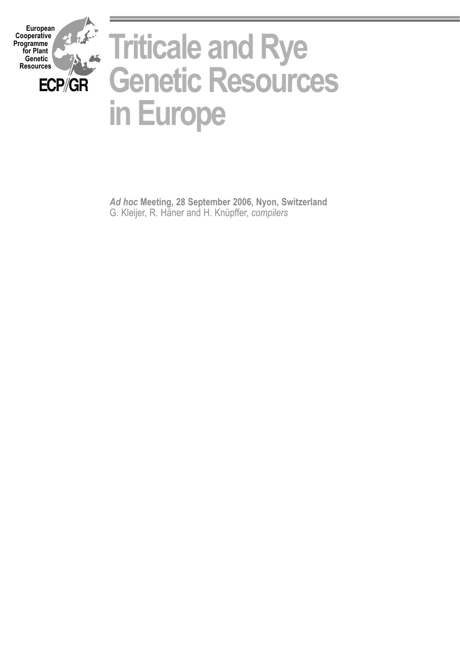

*Ad hoc* **Meeting, 28 September 2006, Nyon, Switzerland** G. Kleijer, R. Häner and H. Knüpffer, *compilers*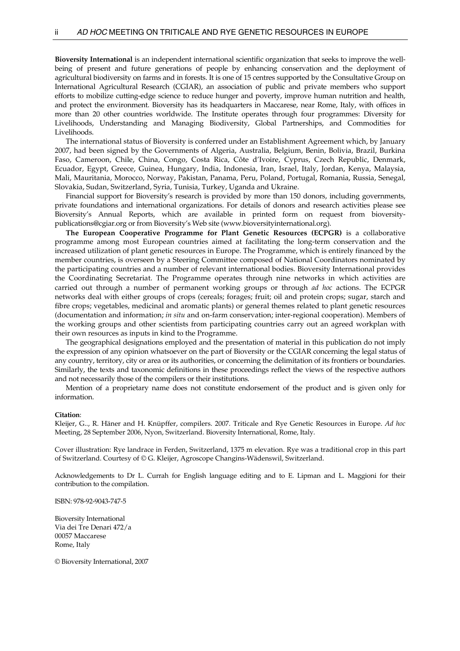**Bioversity International** is an independent international scientific organization that seeks to improve the wellbeing of present and future generations of people by enhancing conservation and the deployment of agricultural biodiversity on farms and in forests. It is one of 15 centres supported by the Consultative Group on International Agricultural Research (CGIAR), an association of public and private members who support efforts to mobilize cutting-edge science to reduce hunger and poverty, improve human nutrition and health, and protect the environment. Bioversity has its headquarters in Maccarese, near Rome, Italy, with offices in more than 20 other countries worldwide. The Institute operates through four programmes: Diversity for Livelihoods, Understanding and Managing Biodiversity, Global Partnerships, and Commodities for Livelihoods.

 The international status of Bioversity is conferred under an Establishment Agreement which, by January 2007, had been signed by the Governments of Algeria, Australia, Belgium, Benin, Bolivia, Brazil, Burkina Faso, Cameroon, Chile, China, Congo, Costa Rica, Côte d'Ivoire, Cyprus, Czech Republic, Denmark, Ecuador, Egypt, Greece, Guinea, Hungary, India, Indonesia, Iran, Israel, Italy, Jordan, Kenya, Malaysia, Mali, Mauritania, Morocco, Norway, Pakistan, Panama, Peru, Poland, Portugal, Romania, Russia, Senegal, Slovakia, Sudan, Switzerland, Syria, Tunisia, Turkey, Uganda and Ukraine.

 Financial support for Bioversity's research is provided by more than 150 donors, including governments, private foundations and international organizations. For details of donors and research activities please see Bioversity's Annual Reports, which are available in printed form on request from bioversitypublications@cgiar.org or from Bioversity's Web site (www.bioversityinternational.org).

 **The European Cooperative Programme for Plant Genetic Resources (ECPGR)** is a collaborative programme among most European countries aimed at facilitating the long-term conservation and the increased utilization of plant genetic resources in Europe. The Programme, which is entirely financed by the member countries, is overseen by a Steering Committee composed of National Coordinators nominated by the participating countries and a number of relevant international bodies. Bioversity International provides the Coordinating Secretariat. The Programme operates through nine networks in which activities are carried out through a number of permanent working groups or through *ad hoc* actions. The ECPGR networks deal with either groups of crops (cereals; forages; fruit; oil and protein crops; sugar, starch and fibre crops; vegetables, medicinal and aromatic plants) or general themes related to plant genetic resources (documentation and information; *in situ* and on-farm conservation; inter-regional cooperation). Members of the working groups and other scientists from participating countries carry out an agreed workplan with their own resources as inputs in kind to the Programme.

 The geographical designations employed and the presentation of material in this publication do not imply the expression of any opinion whatsoever on the part of Bioversity or the CGIAR concerning the legal status of any country, territory, city or area or its authorities, or concerning the delimitation of its frontiers or boundaries. Similarly, the texts and taxonomic definitions in these proceedings reflect the views of the respective authors and not necessarily those of the compilers or their institutions.

 Mention of a proprietary name does not constitute endorsement of the product and is given only for information.

#### **Citation**:

Kleijer, G.., R. Häner and H. Knüpffer, compilers. 2007. Triticale and Rye Genetic Resources in Europe. *Ad hoc* Meeting, 28 September 2006, Nyon, Switzerland. Bioversity International, Rome, Italy.

Cover illustration: Rye landrace in Ferden, Switzerland, 1375 m elevation. Rye was a traditional crop in this part of Switzerland. Courtesy of © G. Kleijer, Agroscope Changins-Wädenswil, Switzerland.

Acknowledgements to Dr L. Currah for English language editing and to E. Lipman and L. Maggioni for their contribution to the compilation.

ISBN: 978-92-9043-747-5

Bioversity International Via dei Tre Denari 472/a 00057 Maccarese Rome, Italy

© Bioversity International, 2007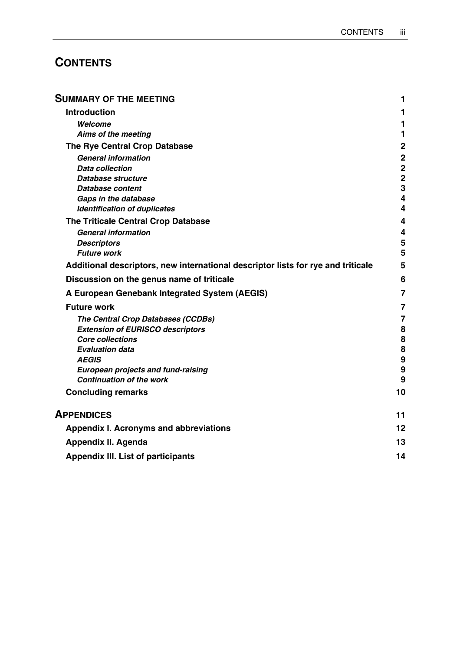# **CONTENTS**

| <b>SUMMARY OF THE MEETING</b>                                                    | 1                       |
|----------------------------------------------------------------------------------|-------------------------|
| <b>Introduction</b>                                                              | 1                       |
| Welcome                                                                          | 1                       |
| Aims of the meeting                                                              | 1                       |
| The Rye Central Crop Database                                                    | $\mathbf 2$             |
| <b>General information</b>                                                       | $\mathbf 2$             |
| <b>Data collection</b>                                                           | $\mathbf 2$             |
| Database structure                                                               | $\overline{\mathbf{2}}$ |
| Database content                                                                 | 3                       |
| Gaps in the database                                                             | $\overline{\mathbf{4}}$ |
| <b>Identification of duplicates</b>                                              | 4                       |
| The Triticale Central Crop Database                                              | 4                       |
| <b>General information</b>                                                       | 4                       |
| <b>Descriptors</b>                                                               | 5                       |
| <b>Future work</b>                                                               | 5                       |
| Additional descriptors, new international descriptor lists for rye and triticale | 5                       |
| Discussion on the genus name of triticale                                        | 6                       |
| A European Genebank Integrated System (AEGIS)                                    | 7                       |
| <b>Future work</b>                                                               | 7                       |
| The Central Crop Databases (CCDBs)                                               | $\overline{7}$          |
| <b>Extension of EURISCO descriptors</b>                                          | 8                       |
| <b>Core collections</b>                                                          | 8                       |
| <b>Evaluation data</b>                                                           | $\pmb{8}$               |
| <b>AEGIS</b>                                                                     | $\boldsymbol{9}$        |
| <b>European projects and fund-raising</b>                                        | 9                       |
| <b>Continuation of the work</b>                                                  | 9                       |
| <b>Concluding remarks</b>                                                        | 10                      |
| <b>APPENDICES</b>                                                                | 11                      |
| Appendix I. Acronyms and abbreviations                                           | 12                      |
| <b>Appendix II. Agenda</b>                                                       | 13                      |
| <b>Appendix III. List of participants</b>                                        | 14                      |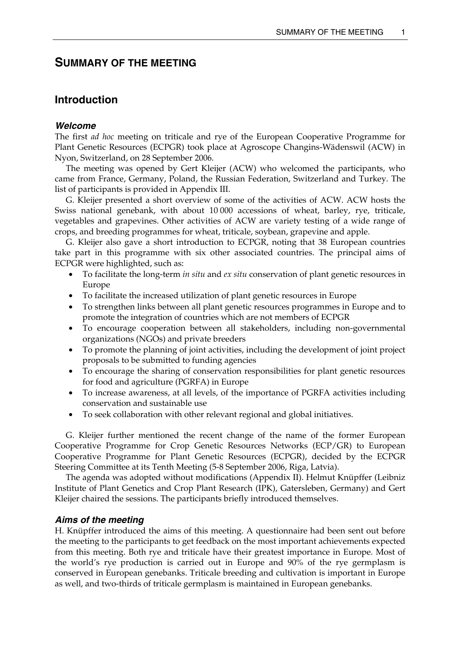# **SUMMARY OF THE MEETING**

## **Introduction**

### *Welcome*

The first *ad hoc* meeting on triticale and rye of the European Cooperative Programme for Plant Genetic Resources (ECPGR) took place at Agroscope Changins-Wädenswil (ACW) in Nyon, Switzerland, on 28 September 2006.

 The meeting was opened by Gert Kleijer (ACW) who welcomed the participants, who came from France, Germany, Poland, the Russian Federation, Switzerland and Turkey. The list of participants is provided in Appendix III.

 G. Kleijer presented a short overview of some of the activities of ACW. ACW hosts the Swiss national genebank, with about 10 000 accessions of wheat, barley, rye, triticale, vegetables and grapevines. Other activities of ACW are variety testing of a wide range of crops, and breeding programmes for wheat, triticale, soybean, grapevine and apple.

 G. Kleijer also gave a short introduction to ECPGR, noting that 38 European countries take part in this programme with six other associated countries. The principal aims of ECPGR were highlighted, such as:

- To facilitate the long-term *in situ* and *ex situ* conservation of plant genetic resources in Europe
- To facilitate the increased utilization of plant genetic resources in Europe
- To strengthen links between all plant genetic resources programmes in Europe and to promote the integration of countries which are not members of ECPGR
- To encourage cooperation between all stakeholders, including non-governmental organizations (NGOs) and private breeders
- To promote the planning of joint activities, including the development of joint project proposals to be submitted to funding agencies
- To encourage the sharing of conservation responsibilities for plant genetic resources for food and agriculture (PGRFA) in Europe
- To increase awareness, at all levels, of the importance of PGRFA activities including conservation and sustainable use
- To seek collaboration with other relevant regional and global initiatives.

 G. Kleijer further mentioned the recent change of the name of the former European Cooperative Programme for Crop Genetic Resources Networks (ECP/GR) to European Cooperative Programme for Plant Genetic Resources (ECPGR), decided by the ECPGR Steering Committee at its Tenth Meeting (5-8 September 2006, Riga, Latvia).

 The agenda was adopted without modifications (Appendix II). Helmut Knüpffer (Leibniz Institute of Plant Genetics and Crop Plant Research (IPK), Gatersleben, Germany) and Gert Kleijer chaired the sessions. The participants briefly introduced themselves.

#### *Aims of the meeting*

H. Knüpffer introduced the aims of this meeting. A questionnaire had been sent out before the meeting to the participants to get feedback on the most important achievements expected from this meeting. Both rye and triticale have their greatest importance in Europe. Most of the world's rye production is carried out in Europe and 90% of the rye germplasm is conserved in European genebanks. Triticale breeding and cultivation is important in Europe as well, and two-thirds of triticale germplasm is maintained in European genebanks.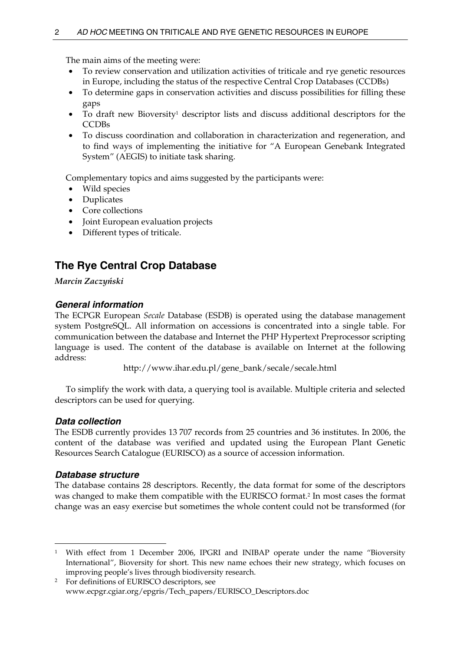The main aims of the meeting were:

- To review conservation and utilization activities of triticale and rye genetic resources in Europe, including the status of the respective Central Crop Databases (CCDBs)
- To determine gaps in conservation activities and discuss possibilities for filling these gaps
- To draft new Bioversity<sup>1</sup> descriptor lists and discuss additional descriptors for the **CCDBs**
- To discuss coordination and collaboration in characterization and regeneration, and to find ways of implementing the initiative for "A European Genebank Integrated System" (AEGIS) to initiate task sharing.

Complementary topics and aims suggested by the participants were:

- Wild species
- Duplicates
- Core collections
- Joint European evaluation projects
- Different types of triticale.

# **The Rye Central Crop Database**

*Marcin Zaczyński* 

## *General information*

The ECPGR European *Secale* Database (ESDB) is operated using the database management system PostgreSQL. All information on accessions is concentrated into a single table. For communication between the database and Internet the PHP Hypertext Preprocessor scripting language is used. The content of the database is available on Internet at the following address:

http://www.ihar.edu.pl/gene\_bank/secale/secale.html

 To simplify the work with data, a querying tool is available. Multiple criteria and selected descriptors can be used for querying.

## *Data collection*

The ESDB currently provides 13 707 records from 25 countries and 36 institutes. In 2006, the content of the database was verified and updated using the European Plant Genetic Resources Search Catalogue (EURISCO) as a source of accession information.

## *Database structure*

The database contains 28 descriptors. Recently, the data format for some of the descriptors was changed to make them compatible with the EURISCO format.2 In most cases the format change was an easy exercise but sometimes the whole content could not be transformed (for

 $\overline{a}$ <sup>1</sup> With effect from 1 December 2006, IPGRI and INIBAP operate under the name "Bioversity International", Bioversity for short. This new name echoes their new strategy, which focuses on improving people's lives through biodiversity research. 2 For definitions of EURISCO descriptors, see

www.ecpgr.cgiar.org/epgris/Tech\_papers/EURISCO\_Descriptors.doc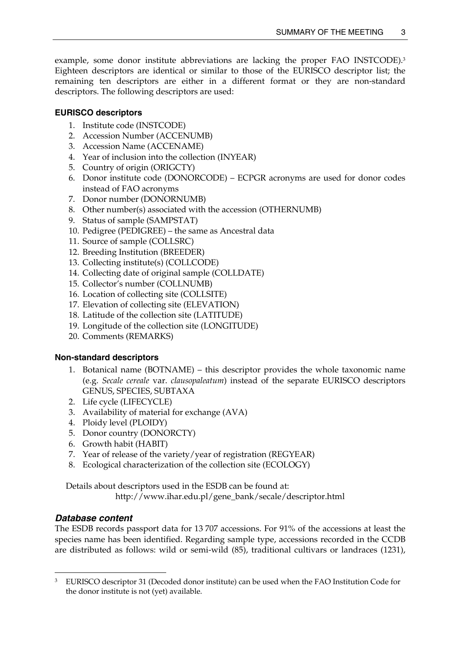example, some donor institute abbreviations are lacking the proper FAO INSTCODE).3 Eighteen descriptors are identical or similar to those of the EURISCO descriptor list; the remaining ten descriptors are either in a different format or they are non-standard descriptors. The following descriptors are used:

## **EURISCO descriptors**

- 1. Institute code (INSTCODE)
- 2. Accession Number (ACCENUMB)
- 3. Accession Name (ACCENAME)
- 4. Year of inclusion into the collection (INYEAR)
- 5. Country of origin (ORIGCTY)
- 6. Donor institute code (DONORCODE) ECPGR acronyms are used for donor codes instead of FAO acronyms
- 7. Donor number (DONORNUMB)
- 8. Other number(s) associated with the accession (OTHERNUMB)
- 9. Status of sample (SAMPSTAT)
- 10. Pedigree (PEDIGREE) the same as Ancestral data
- 11. Source of sample (COLLSRC)
- 12. Breeding Institution (BREEDER)
- 13. Collecting institute(s) (COLLCODE)
- 14. Collecting date of original sample (COLLDATE)
- 15. Collector's number (COLLNUMB)
- 16. Location of collecting site (COLLSITE)
- 17. Elevation of collecting site (ELEVATION)
- 18. Latitude of the collection site (LATITUDE)
- 19. Longitude of the collection site (LONGITUDE)
- 20. Comments (REMARKS)

## **Non-standard descriptors**

- 1. Botanical name (BOTNAME) this descriptor provides the whole taxonomic name (e.g. *Secale cereale* var. *clausopaleatum*) instead of the separate EURISCO descriptors GENUS, SPECIES, SUBTAXA
- 2. Life cycle (LIFECYCLE)
- 3. Availability of material for exchange (AVA)
- 4. Ploidy level (PLOIDY)
- 5. Donor country (DONORCTY)
- 6. Growth habit (HABIT)
- 7. Year of release of the variety/year of registration (REGYEAR)
- 8. Ecological characterization of the collection site (ECOLOGY)

Details about descriptors used in the ESDB can be found at:

http://www.ihar.edu.pl/gene\_bank/secale/descriptor.html

## *Database content*

 $\overline{a}$ 

The ESDB records passport data for 13 707 accessions. For 91% of the accessions at least the species name has been identified. Regarding sample type, accessions recorded in the CCDB are distributed as follows: wild or semi-wild (85), traditional cultivars or landraces (1231),

<sup>&</sup>lt;sup>3</sup> EURISCO descriptor 31 (Decoded donor institute) can be used when the FAO Institution Code for the donor institute is not (yet) available.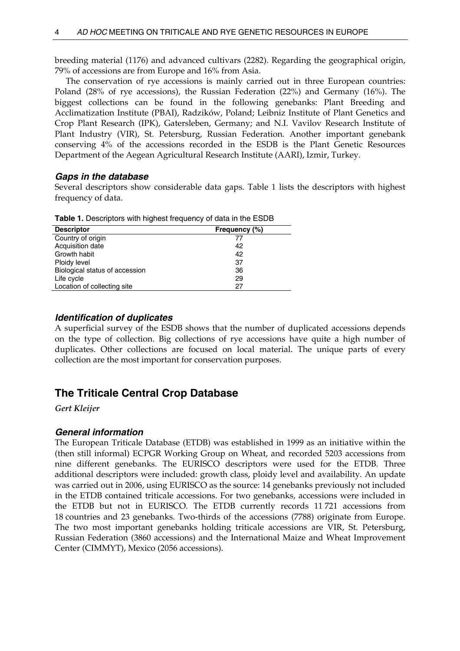breeding material (1176) and advanced cultivars (2282). Regarding the geographical origin, 79% of accessions are from Europe and 16% from Asia.

 The conservation of rye accessions is mainly carried out in three European countries: Poland (28% of rye accessions), the Russian Federation (22%) and Germany (16%). The biggest collections can be found in the following genebanks: Plant Breeding and Acclimatization Institute (PBAI), Radzików, Poland; Leibniz Institute of Plant Genetics and Crop Plant Research (IPK), Gatersleben, Germany; and N.I. Vavilov Research Institute of Plant Industry (VIR), St. Petersburg, Russian Federation. Another important genebank conserving 4% of the accessions recorded in the ESDB is the Plant Genetic Resources Department of the Aegean Agricultural Research Institute (AARI), Izmir, Turkey.

## *Gaps in the database*

Several descriptors show considerable data gaps. Table 1 lists the descriptors with highest frequency of data.

| $1.401$ and $1.500$ and $1.61$ and $1.60$ and $1.60$ and $1.60$ and $1.60$ and $1.60$ and $1.60$ and $1.60$ and $1.60$ and $1.60$ and $1.60$ and $1.60$ and $1.60$ and $1.60$ and $1.60$ and $1.60$ and $1.60$ and $1.60$ and |               |
|-------------------------------------------------------------------------------------------------------------------------------------------------------------------------------------------------------------------------------|---------------|
| <b>Descriptor</b>                                                                                                                                                                                                             | Frequency (%) |
| Country of origin                                                                                                                                                                                                             | 77            |
| Acquisition date                                                                                                                                                                                                              | 42            |
| Growth habit                                                                                                                                                                                                                  | 42            |
| Ploidy level                                                                                                                                                                                                                  | 37            |
| Biological status of accession                                                                                                                                                                                                | 36            |
| Life cycle                                                                                                                                                                                                                    | 29            |
| Location of collecting site                                                                                                                                                                                                   | 27            |

**Table 1.** Descriptors with highest frequency of data in the ESDB

## *Identification of duplicates*

A superficial survey of the ESDB shows that the number of duplicated accessions depends on the type of collection. Big collections of rye accessions have quite a high number of duplicates. Other collections are focused on local material. The unique parts of every collection are the most important for conservation purposes.

# **The Triticale Central Crop Database**

*Gert Kleijer* 

## *General information*

The European Triticale Database (ETDB) was established in 1999 as an initiative within the (then still informal) ECPGR Working Group on Wheat, and recorded 5203 accessions from nine different genebanks. The EURISCO descriptors were used for the ETDB. Three additional descriptors were included: growth class, ploidy level and availability. An update was carried out in 2006, using EURISCO as the source: 14 genebanks previously not included in the ETDB contained triticale accessions. For two genebanks, accessions were included in the ETDB but not in EURISCO. The ETDB currently records 11 721 accessions from 18 countries and 23 genebanks. Two-thirds of the accessions (7788) originate from Europe. The two most important genebanks holding triticale accessions are VIR, St. Petersburg, Russian Federation (3860 accessions) and the International Maize and Wheat Improvement Center (CIMMYT), Mexico (2056 accessions).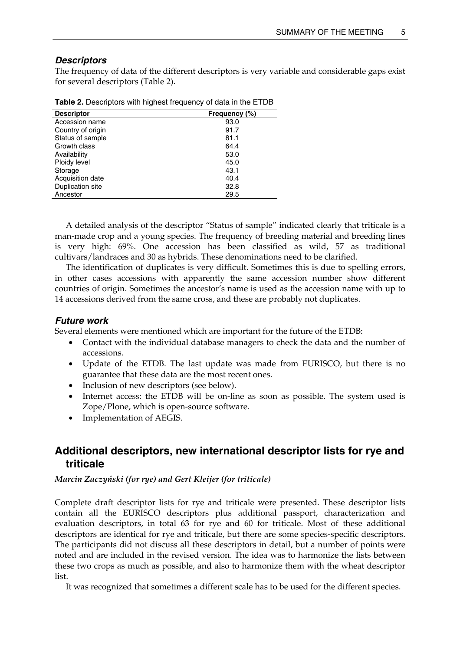## *Descriptors*

The frequency of data of the different descriptors is very variable and considerable gaps exist for several descriptors (Table 2).

| <b>Descriptor</b> | Frequency (%) |
|-------------------|---------------|
| Accession name    | 93.0          |
| Country of origin | 91.7          |
| Status of sample  | 81.1          |
| Growth class      | 64.4          |
| Availability      | 53.0          |
| Ploidy level      | 45.0          |
| Storage           | 43.1          |
| Acquisition date  | 40.4          |
| Duplication site  | 32.8          |
| Ancestor          | 29.5          |

|  |  | Table 2. Descriptors with highest frequency of data in the ETDB |
|--|--|-----------------------------------------------------------------|
|  |  |                                                                 |

 A detailed analysis of the descriptor "Status of sample" indicated clearly that triticale is a man-made crop and a young species. The frequency of breeding material and breeding lines is very high: 69%. One accession has been classified as wild, 57 as traditional cultivars/landraces and 30 as hybrids. These denominations need to be clarified.

 The identification of duplicates is very difficult. Sometimes this is due to spelling errors, in other cases accessions with apparently the same accession number show different countries of origin. Sometimes the ancestor's name is used as the accession name with up to 14 accessions derived from the same cross, and these are probably not duplicates.

## *Future work*

Several elements were mentioned which are important for the future of the ETDB:

- Contact with the individual database managers to check the data and the number of accessions.
- Update of the ETDB. The last update was made from EURISCO, but there is no guarantee that these data are the most recent ones.
- Inclusion of new descriptors (see below).
- Internet access: the ETDB will be on-line as soon as possible. The system used is Zope/Plone, which is open-source software.
- Implementation of AEGIS.

# **Additional descriptors, new international descriptor lists for rye and triticale**

#### *Marcin Zaczyński (for rye) and Gert Kleijer (for triticale)*

Complete draft descriptor lists for rye and triticale were presented. These descriptor lists contain all the EURISCO descriptors plus additional passport, characterization and evaluation descriptors, in total 63 for rye and 60 for triticale. Most of these additional descriptors are identical for rye and triticale, but there are some species-specific descriptors. The participants did not discuss all these descriptors in detail, but a number of points were noted and are included in the revised version. The idea was to harmonize the lists between these two crops as much as possible, and also to harmonize them with the wheat descriptor list.

It was recognized that sometimes a different scale has to be used for the different species.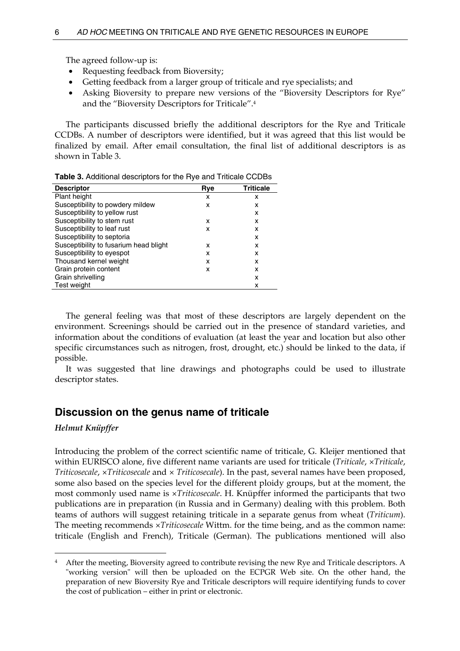The agreed follow-up is:

- Requesting feedback from Bioversity;
- Getting feedback from a larger group of triticale and rye specialists; and
- Asking Bioversity to prepare new versions of the "Bioversity Descriptors for Rye" and the "Bioversity Descriptors for Triticale".4

 The participants discussed briefly the additional descriptors for the Rye and Triticale CCDBs. A number of descriptors were identified, but it was agreed that this list would be finalized by email. After email consultation, the final list of additional descriptors is as shown in Table 3.

| <b>Descriptor</b>                      | Rve | <b>Triticale</b> |
|----------------------------------------|-----|------------------|
| Plant height                           | x   | x                |
| Susceptibility to powdery mildew       | x   | x                |
| Susceptibility to yellow rust          |     | x                |
| Susceptibility to stem rust            | x   | x                |
| Susceptibility to leaf rust            | x   | x                |
| Susceptibility to septoria             |     | x                |
| Susceptibility to fusarium head blight | x   | x                |
| Susceptibility to eyespot              | x   | x                |
| Thousand kernel weight                 | x   | x                |
| Grain protein content                  | x   | x                |
| Grain shrivelling                      |     | x                |
| Test weight                            |     | x                |

**Table 3.** Additional descriptors for the Rye and Triticale CCDBs

 The general feeling was that most of these descriptors are largely dependent on the environment. Screenings should be carried out in the presence of standard varieties, and information about the conditions of evaluation (at least the year and location but also other specific circumstances such as nitrogen, frost, drought, etc.) should be linked to the data, if possible.

 It was suggested that line drawings and photographs could be used to illustrate descriptor states.

# **Discussion on the genus name of triticale**

## *Helmut Knüpffer*

 $\overline{a}$ 

Introducing the problem of the correct scientific name of triticale, G. Kleijer mentioned that within EURISCO alone, five different name variants are used for triticale (*Triticale*, ×*Triticale*, *Triticosecale*, ×*Triticosecale* and × *Triticosecale*). In the past, several names have been proposed, some also based on the species level for the different ploidy groups, but at the moment, the most commonly used name is ×*Triticosecale*. H. Knüpffer informed the participants that two publications are in preparation (in Russia and in Germany) dealing with this problem. Both teams of authors will suggest retaining triticale in a separate genus from wheat (*Triticum*). The meeting recommends ×*Triticosecale* Wittm. for the time being, and as the common name: triticale (English and French), Triticale (German). The publications mentioned will also

<sup>4</sup> After the meeting, Bioversity agreed to contribute revising the new Rye and Triticale descriptors. A "working version" will then be uploaded on the ECPGR Web site. On the other hand, the preparation of new Bioversity Rye and Triticale descriptors will require identifying funds to cover the cost of publication – either in print or electronic.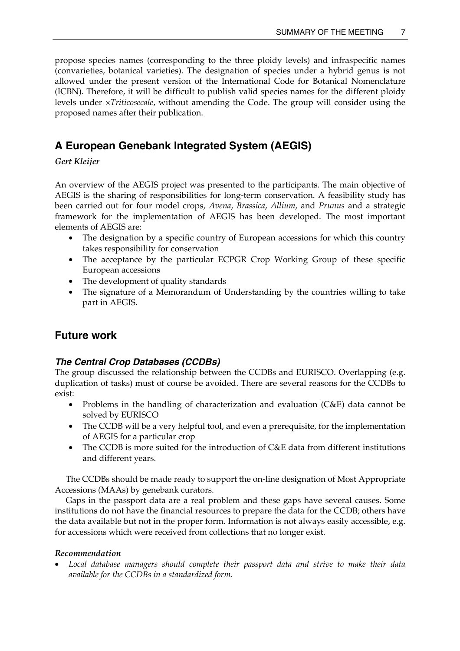propose species names (corresponding to the three ploidy levels) and infraspecific names (convarieties, botanical varieties). The designation of species under a hybrid genus is not allowed under the present version of the International Code for Botanical Nomenclature (ICBN). Therefore, it will be difficult to publish valid species names for the different ploidy levels under ×*Triticosecale*, without amending the Code. The group will consider using the proposed names after their publication.

# **A European Genebank Integrated System (AEGIS)**

*Gert Kleijer* 

An overview of the AEGIS project was presented to the participants. The main objective of AEGIS is the sharing of responsibilities for long-term conservation. A feasibility study has been carried out for four model crops, *Avena*, *Brassica*, *Allium*, and *Prunus* and a strategic framework for the implementation of AEGIS has been developed. The most important elements of AEGIS are:

- The designation by a specific country of European accessions for which this country takes responsibility for conservation
- The acceptance by the particular ECPGR Crop Working Group of these specific European accessions
- The development of quality standards
- The signature of a Memorandum of Understanding by the countries willing to take part in AEGIS.

# **Future work**

# *The Central Crop Databases (CCDBs)*

The group discussed the relationship between the CCDBs and EURISCO. Overlapping (e.g. duplication of tasks) must of course be avoided. There are several reasons for the CCDBs to exist:

- Problems in the handling of characterization and evaluation (C&E) data cannot be solved by EURISCO
- The CCDB will be a very helpful tool, and even a prerequisite, for the implementation of AEGIS for a particular crop
- The CCDB is more suited for the introduction of C&E data from different institutions and different years.

 The CCDBs should be made ready to support the on-line designation of Most Appropriate Accessions (MAAs) by genebank curators.

 Gaps in the passport data are a real problem and these gaps have several causes. Some institutions do not have the financial resources to prepare the data for the CCDB; others have the data available but not in the proper form. Information is not always easily accessible, e.g. for accessions which were received from collections that no longer exist.

## *Recommendation*

• *Local database managers should complete their passport data and strive to make their data available for the CCDBs in a standardized form.*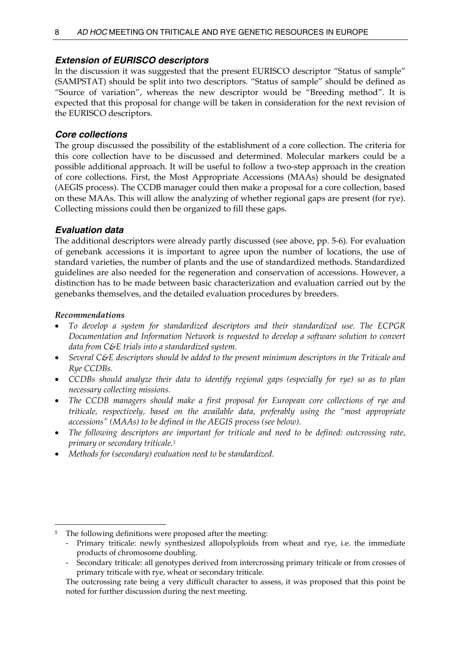## *Extension of EURISCO descriptors*

In the discussion it was suggested that the present EURISCO descriptor "Status of sample" (SAMPSTAT) should be split into two descriptors. "Status of sample" should be defined as "Source of variation", whereas the new descriptor would be "Breeding method". It is expected that this proposal for change will be taken in consideration for the next revision of the EURISCO descriptors.

## *Core collections*

The group discussed the possibility of the establishment of a core collection. The criteria for this core collection have to be discussed and determined. Molecular markers could be a possible additional approach. It will be useful to follow a two-step approach in the creation of core collections. First, the Most Appropriate Accessions (MAAs) should be designated (AEGIS process). The CCDB manager could then make a proposal for a core collection, based on these MAAs. This will allow the analyzing of whether regional gaps are present (for rye). Collecting missions could then be organized to fill these gaps.

## *Evaluation data*

The additional descriptors were already partly discussed (see above, pp. 5-6). For evaluation of genebank accessions it is important to agree upon the number of locations, the use of standard varieties, the number of plants and the use of standardized methods. Standardized guidelines are also needed for the regeneration and conservation of accessions. However, a distinction has to be made between basic characterization and evaluation carried out by the genebanks themselves, and the detailed evaluation procedures by breeders.

## *Recommendations*

 $\overline{a}$ 

- *To develop a system for standardized descriptors and their standardized use. The ECPGR Documentation and Information Network is requested to develop a software solution to convert data from C&E trials into a standardized system.*
- *Several C&E descriptors should be added to the present minimum descriptors in the Triticale and Rye CCDBs.*
- *CCDBs should analyze their data to identify regional gaps (especially for rye) so as to plan necessary collecting missions.*
- *The CCDB managers should make a first proposal for European core collections of rye and triticale, respectively, based on the available data, preferably using the "most appropriate accessions" (MAAs) to be defined in the AEGIS process (see below).*
- *The following descriptors are important for triticale and need to be defined: outcrossing rate, primary or secondary triticale.5*
- *Methods for (secondary) evaluation need to be standardized.*

<sup>&</sup>lt;sup>5</sup> The following definitions were proposed after the meeting:

<sup>-</sup> Primary triticale: newly synthesized allopolyploids from wheat and rye, i.e. the immediate products of chromosome doubling.

<sup>-</sup> Secondary triticale: all genotypes derived from intercrossing primary triticale or from crosses of primary triticale with rye, wheat or secondary triticale.

The outcrossing rate being a very difficult character to assess, it was proposed that this point be noted for further discussion during the next meeting.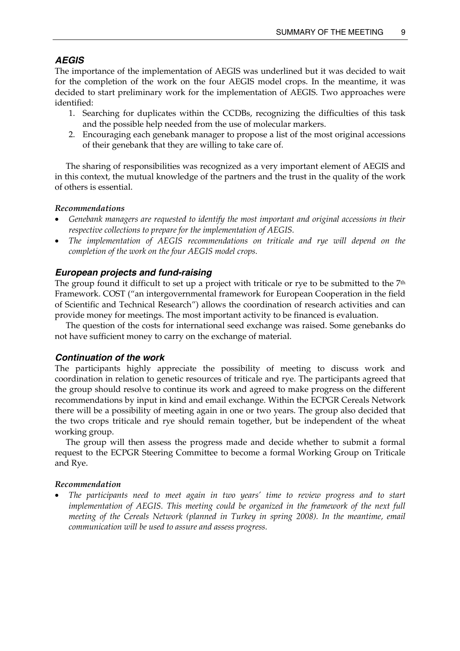## *AEGIS*

The importance of the implementation of AEGIS was underlined but it was decided to wait for the completion of the work on the four AEGIS model crops. In the meantime, it was decided to start preliminary work for the implementation of AEGIS. Two approaches were identified:

- 1. Searching for duplicates within the CCDBs, recognizing the difficulties of this task and the possible help needed from the use of molecular markers.
- 2. Encouraging each genebank manager to propose a list of the most original accessions of their genebank that they are willing to take care of.

 The sharing of responsibilities was recognized as a very important element of AEGIS and in this context, the mutual knowledge of the partners and the trust in the quality of the work of others is essential.

#### *Recommendations*

- *Genebank managers are requested to identify the most important and original accessions in their respective collections to prepare for the implementation of AEGIS.*
- *The implementation of AEGIS recommendations on triticale and rye will depend on the completion of the work on the four AEGIS model crops.*

#### *European projects and fund-raising*

The group found it difficult to set up a project with triticale or rye to be submitted to the  $7<sup>th</sup>$ Framework. COST ("an intergovernmental framework for European Cooperation in the field of Scientific and Technical Research") allows the coordination of research activities and can provide money for meetings. The most important activity to be financed is evaluation.

 The question of the costs for international seed exchange was raised. Some genebanks do not have sufficient money to carry on the exchange of material.

#### *Continuation of the work*

The participants highly appreciate the possibility of meeting to discuss work and coordination in relation to genetic resources of triticale and rye. The participants agreed that the group should resolve to continue its work and agreed to make progress on the different recommendations by input in kind and email exchange. Within the ECPGR Cereals Network there will be a possibility of meeting again in one or two years. The group also decided that the two crops triticale and rye should remain together, but be independent of the wheat working group.

 The group will then assess the progress made and decide whether to submit a formal request to the ECPGR Steering Committee to become a formal Working Group on Triticale and Rye.

#### *Recommendation*

• *The participants need to meet again in two years' time to review progress and to start implementation of AEGIS. This meeting could be organized in the framework of the next full meeting of the Cereals Network (planned in Turkey in spring 2008). In the meantime, email communication will be used to assure and assess progress.*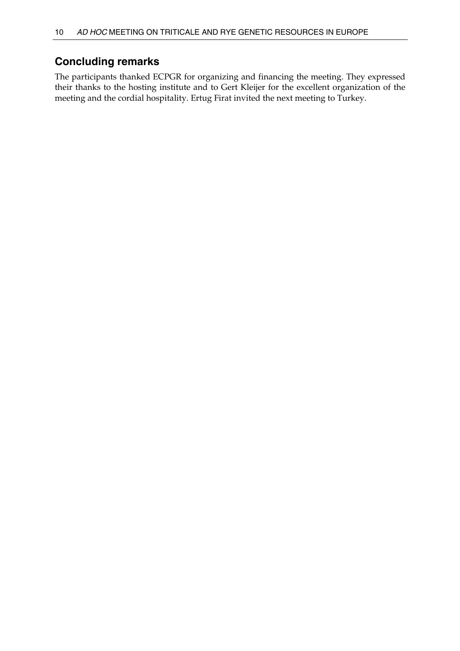# **Concluding remarks**

The participants thanked ECPGR for organizing and financing the meeting. They expressed their thanks to the hosting institute and to Gert Kleijer for the excellent organization of the meeting and the cordial hospitality. Ertug Firat invited the next meeting to Turkey.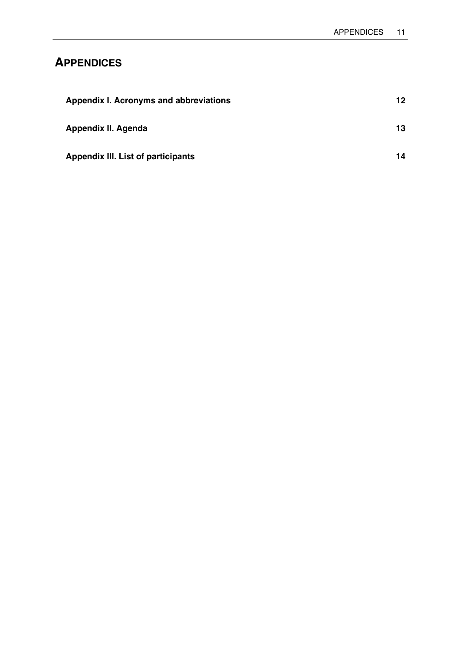# **APPENDICES**

| Appendix I. Acronyms and abbreviations    | 12  |
|-------------------------------------------|-----|
| Appendix II. Agenda                       | 13. |
| <b>Appendix III. List of participants</b> | 14  |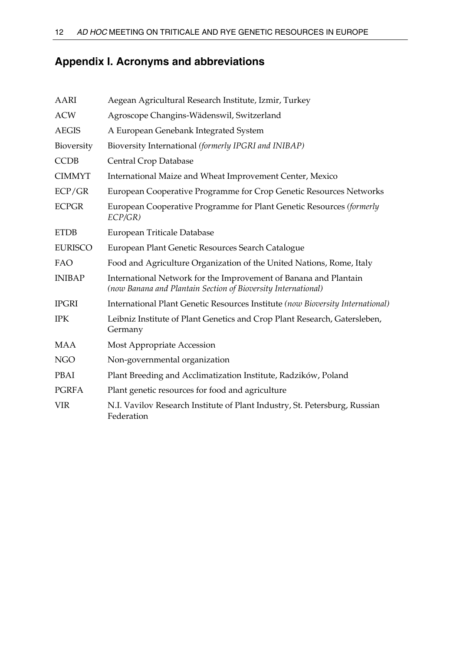# **Appendix I. Acronyms and abbreviations**

| AARI           | Aegean Agricultural Research Institute, Izmir, Turkey                                                                             |
|----------------|-----------------------------------------------------------------------------------------------------------------------------------|
| <b>ACW</b>     | Agroscope Changins-Wädenswil, Switzerland                                                                                         |
| <b>AEGIS</b>   | A European Genebank Integrated System                                                                                             |
| Bioversity     | Bioversity International (formerly IPGRI and INIBAP)                                                                              |
| <b>CCDB</b>    | Central Crop Database                                                                                                             |
| <b>CIMMYT</b>  | International Maize and Wheat Improvement Center, Mexico                                                                          |
| ECP/GR         | European Cooperative Programme for Crop Genetic Resources Networks                                                                |
| <b>ECPGR</b>   | European Cooperative Programme for Plant Genetic Resources (formerly<br>ECP/GR)                                                   |
| <b>ETDB</b>    | European Triticale Database                                                                                                       |
| <b>EURISCO</b> | European Plant Genetic Resources Search Catalogue                                                                                 |
| FAO            | Food and Agriculture Organization of the United Nations, Rome, Italy                                                              |
| <b>INIBAP</b>  | International Network for the Improvement of Banana and Plantain<br>(now Banana and Plantain Section of Bioversity International) |
| <b>IPGRI</b>   | International Plant Genetic Resources Institute (now Bioversity International)                                                    |
| <b>IPK</b>     | Leibniz Institute of Plant Genetics and Crop Plant Research, Gatersleben,<br>Germany                                              |
| <b>MAA</b>     | Most Appropriate Accession                                                                                                        |
| <b>NGO</b>     | Non-governmental organization                                                                                                     |
| PBAI           | Plant Breeding and Acclimatization Institute, Radzików, Poland                                                                    |
| <b>PGRFA</b>   | Plant genetic resources for food and agriculture                                                                                  |
| <b>VIR</b>     | N.I. Vavilov Research Institute of Plant Industry, St. Petersburg, Russian<br>Federation                                          |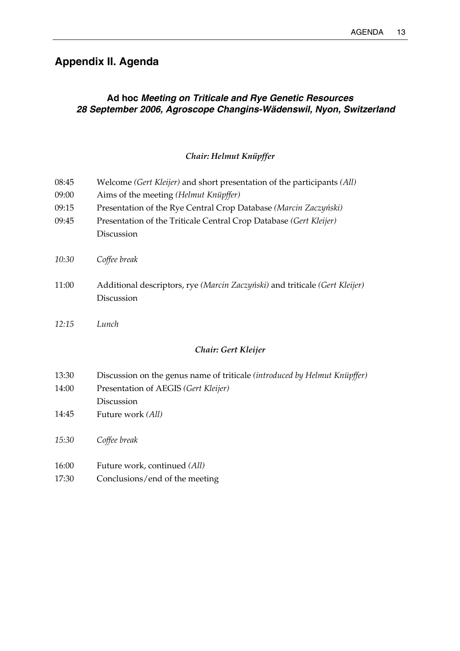# **Appendix II. Agenda**

# **Ad hoc** *Meeting on Triticale and Rye Genetic Resources 28 September 2006, Agroscope Changins-Wädenswil, Nyon, Switzerland*

## *Chair: Helmut Knüpffer*

| 08:45 | Welcome (Gert Kleijer) and short presentation of the participants (All)                                           |
|-------|-------------------------------------------------------------------------------------------------------------------|
| 09:00 | Aims of the meeting (Helmut Knüpffer)                                                                             |
| 09:15 | Presentation of the Rye Central Crop Database (Marcin Zaczyński)                                                  |
| 09:45 | Presentation of the Triticale Central Crop Database (Gert Kleijer)                                                |
|       | Discussion                                                                                                        |
| 10:30 | Coffee break                                                                                                      |
| 11:00 | Additional descriptors, rye (Marcin Zaczyński) and triticale (Gert Kleijer)                                       |
|       | Discussion                                                                                                        |
|       |                                                                                                                   |
| 12:15 | Lunch                                                                                                             |
|       | Chair: Gert Kleijer                                                                                               |
| 13:30 |                                                                                                                   |
| 14:00 | Discussion on the genus name of triticale (introduced by Helmut Knüpffer)<br>Presentation of AEGIS (Gert Kleijer) |
|       | Discussion                                                                                                        |
| 14:45 | Future work (All)                                                                                                 |
|       |                                                                                                                   |
| 15:30 | Coffee break                                                                                                      |
|       |                                                                                                                   |
| 16:00 | Future work, continued (All)                                                                                      |
| 17:30 | Conclusions/end of the meeting                                                                                    |
|       |                                                                                                                   |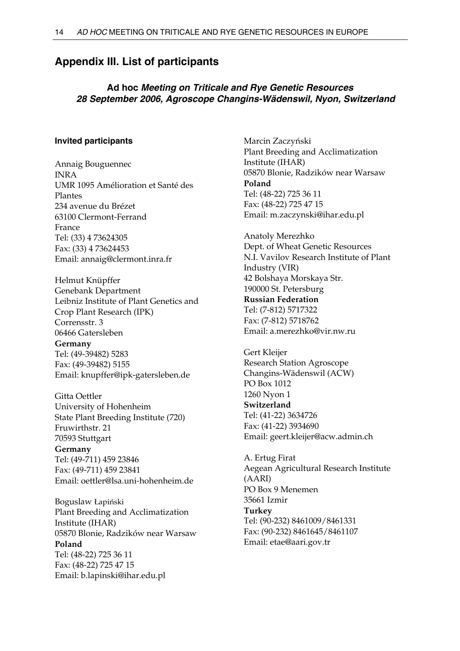# **Appendix III. List of participants**

## **Ad hoc** *Meeting on Triticale and Rye Genetic Resources 28 September 2006, Agroscope Changins-Wädenswil, Nyon, Switzerland*

#### **Invited participants**

Annaig Bouguennec INRA UMR 1095 Amélioration et Santé des Plantes 234 avenue du Brézet 63100 Clermont-Ferrand France Tel: (33) 4 73624305 Fax: (33) 4 73624453 Email: annaig@clermont.inra.fr

Helmut Knüpffer Genebank Department Leibniz Institute of Plant Genetics and Crop Plant Research (IPK) Corrensstr. 3 06466 Gatersleben **Germany** 

Tel: (49-39482) 5283 Fax: (49-39482) 5155 Email: knupffer@ipk-gatersleben.de

Gitta Oettler University of Hohenheim State Plant Breeding Institute (720) Fruwirthstr. 21 70593 Stuttgart **Germany** Tel: (49-711) 459 23846 Fax: (49-711) 459 23841 Email: oettler@lsa.uni-hohenheim.de

Boguslaw Łapiński Plant Breeding and Acclimatization Institute (IHAR) 05870 Blonie, Radzików near Warsaw **Poland**  Tel: (48-22) 725 36 11 Fax: (48-22) 725 47 15 Email: b.lapinski@ihar.edu.pl

Marcin Zaczyński Plant Breeding and Acclimatization Institute (IHAR) 05870 Blonie, Radzików near Warsaw **Poland**  Tel: (48-22) 725 36 11 Fax: (48-22) 725 47 15 Email: m.zaczynski@ihar.edu.pl

Anatoly Merezhko Dept. of Wheat Genetic Resources N.I. Vavilov Research Institute of Plant Industry (VIR) 42 Bolshaya Morskaya Str. 190000 St. Petersburg

**Russian Federation**  Tel: (7-812) 5717322 Fax: (7-812) 5718762 Email: a.merezhko@vir.nw.ru

Gert Kleijer Research Station Agroscope Changins-Wädenswil (ACW) PO Box 1012 1260 Nyon 1 **Switzerland**  Tel: (41-22) 3634726 Fax: (41-22) 3934690 Email: geert.kleijer@acw.admin.ch

A. Ertug Firat Aegean Agricultural Research Institute (AARI) PO Box 9 Menemen 35661 Izmir **Turkey**  Tel: (90-232) 8461009/8461331 Fax: (90-232) 8461645/8461107 Email: etae@aari.gov.tr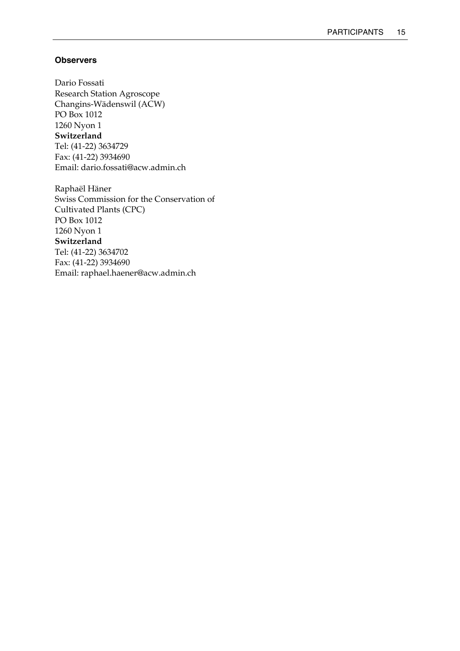## **Observers**

Dario Fossati Research Station Agroscope Changins-Wädenswil (ACW) PO Box 1012 1260 Nyon 1 **Switzerland**  Tel: (41-22) 3634729 Fax: (41-22) 3934690 Email: dario.fossati@acw.admin.ch

Raphaël Häner Swiss Commission for the Conservation of Cultivated Plants (CPC) PO Box 1012 1260 Nyon 1 **Switzerland**  Tel: (41-22) 3634702 Fax: (41-22) 3934690 Email: raphael.haener@acw.admin.ch